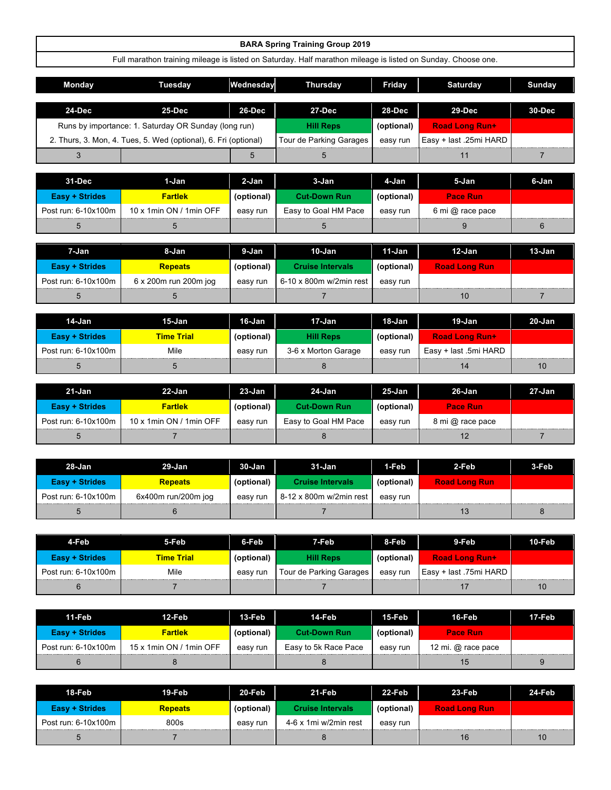|                       |                                                                                                              |            | <b>BARA Spring Training Group 2019</b> |            |                        |                |
|-----------------------|--------------------------------------------------------------------------------------------------------------|------------|----------------------------------------|------------|------------------------|----------------|
|                       | Full marathon training mileage is listed on Saturday. Half marathon mileage is listed on Sunday. Choose one. |            |                                        |            |                        |                |
| Monday                | <b>Tuesday</b>                                                                                               | Wednesday  | <b>Thursday</b>                        | Friday     | <b>Saturday</b>        | Sunday         |
| 24-Dec                | 25-Dec                                                                                                       | 26-Dec     | 27-Dec                                 | 28-Dec     | 29-Dec                 | 30-Dec         |
|                       |                                                                                                              |            |                                        |            |                        |                |
|                       | Runs by importance: 1. Saturday OR Sunday (long run)                                                         |            | <b>Hill Reps</b>                       | (optional) | Road Long Run+         |                |
|                       | 2. Thurs, 3. Mon, 4. Tues, 5. Wed (optional), 6. Fri (optional)                                              |            | <b>Tour de Parking Garages</b>         | easy run   | Easy + last .25mi HARD |                |
| 3                     |                                                                                                              | 5          | 5                                      |            | 11                     | $\overline{7}$ |
|                       |                                                                                                              |            |                                        |            |                        |                |
| 31-Dec                | 1-Jan                                                                                                        | 2-Jan      | $3 - Jan$                              | 4-Jan      | 5-Jan                  | 6-Jan          |
| <b>Easy + Strides</b> | <b>Fartlek</b>                                                                                               | (optional) | <b>Cut-Down Run</b>                    | (optional) | <b>Pace Run</b>        |                |
| Post run: 6-10x100m   | 10 x 1min ON / 1min OFF                                                                                      | easy run   | Easy to Goal HM Pace                   | easy run   | 6 mi @ race pace       |                |
| 5                     | 5                                                                                                            |            | 5                                      |            | 9                      | 6              |
|                       |                                                                                                              |            |                                        |            |                        |                |
| 7-Jan                 | 8-Jan                                                                                                        | 9-Jan      | $10 - Jan$                             | 11-Jan     | $12-Jan$               | $13 - Jan$     |
| <b>Easy + Strides</b> | <b>Repeats</b>                                                                                               | (optional) | <b>Cruise Intervals</b>                | (optional) | <b>Road Long Run</b>   |                |
| Post run: 6-10x100m   | 6 x 200m run 200m jog                                                                                        | easy run   | 6-10 x 800m w/2min rest                | easy run   |                        |                |
| 5                     | 5                                                                                                            |            | $\overline{7}$                         |            | 10                     | $\overline{7}$ |
|                       |                                                                                                              |            |                                        |            |                        |                |
| 14-Jan                | $15 - Jan$                                                                                                   | $16$ -Jan  | $17 - Jan$                             | $18 - Jan$ | $19 - Jan$             | $20 - Jan$     |
| <b>Easy + Strides</b> | <b>Time Trial</b>                                                                                            | (optional) | <b>Hill Reps</b>                       | (optional) | <b>Road Long Run+</b>  |                |
| Post run: 6-10x100m   | Mile                                                                                                         | easy run   | 3-6 x Morton Garage                    | easy run   | Easy + last .5mi HARD  |                |
| 5                     | 5                                                                                                            |            | 8                                      |            | 14                     | 10             |
| $21 - Jan$            | $22 - Jan$                                                                                                   | $23 - Jan$ | $24 - Jan$                             | $25 - Jan$ | 26-Jan                 | $27 - Jan$     |
| <b>Easy + Strides</b> | <b>Fartlek</b>                                                                                               | (optional) | <b>Cut-Down Run</b>                    | (optional) | <b>Pace Run</b>        |                |

| Easv + Strides:       | <b>Fartlek</b>          | (optional) | Cut-Down Run         | (optional) | <b>Pace Run</b>  |  |
|-----------------------|-------------------------|------------|----------------------|------------|------------------|--|
| Post run: $6-10x100m$ | 10 x 1min ON / 1min OFF | easv run   | Easy to Goal HM Pace | easv run   | 8 mi @ race pace |  |
|                       |                         |            |                      |            |                  |  |

| 28-Jan                | 29-Jan              | $30 - Jan$ | 31-Jan                  | 1-Feb      | 2-Feb                | 3-Feb |
|-----------------------|---------------------|------------|-------------------------|------------|----------------------|-------|
| <b>Easy + Strides</b> | <b>Repeats</b>      | (optional) | <b>Cruise Intervals</b> | (optional) | <b>Road Long Run</b> |       |
| Post run: 6-10x100m   | 6x400m run/200m jog | easy run   | 8-12 x 800m w/2min rest | easy run   |                      |       |
|                       |                     |            |                         |            |                      |       |

| 4-Feb                 | 5-Feb             | 6-Feb      | 7-Feb                   | 8-Feb      | 9-Feb                  | 10-Feb |
|-----------------------|-------------------|------------|-------------------------|------------|------------------------|--------|
| <b>Easy + Strides</b> | <b>Time Trial</b> | (optional) | <b>Hill Reps</b>        | (optional) | <b>Road Long Run+</b>  |        |
| Post run: 6-10x100m   | Mile              | easy run   | Tour de Parking Garages | easy run   | Easy + last .75mi HARD |        |
|                       |                   |            |                         |            |                        |        |

| 11-Feb                | 12-Feb                  | 13-Feb l   | 14-Feb               | 15-Feb     | 16-Feb               | 17-Feb |
|-----------------------|-------------------------|------------|----------------------|------------|----------------------|--------|
| <b>Easy + Strides</b> | <b>Fartlek</b>          | (optional) | <b>Cut-Down Run</b>  | (optional) | <b>Pace Run</b>      |        |
| Post run: 6-10x100m   | 15 x 1min ON / 1min OFF | easy run   | Easy to 5k Race Pace | easy run   | 12 mi. $@$ race pace |        |
|                       |                         |            |                      |            | 15                   | 9      |

| 18-Feb                | 19-Feb         | $20$ -Feb  | 21-Feb                  | 22-Feb     | 23-Feb               | <b>24-Feb</b> |
|-----------------------|----------------|------------|-------------------------|------------|----------------------|---------------|
| <b>Easy + Strides</b> | <b>Repeats</b> | (optional) | <b>Cruise Intervals</b> | (optional) | <b>Road Long Run</b> |               |
| Post run: 6-10x100m   | 800s           | easv run   | 4-6 x 1mi w/2min rest   | easy run   |                      |               |
|                       |                |            |                         |            | 16                   | 10            |